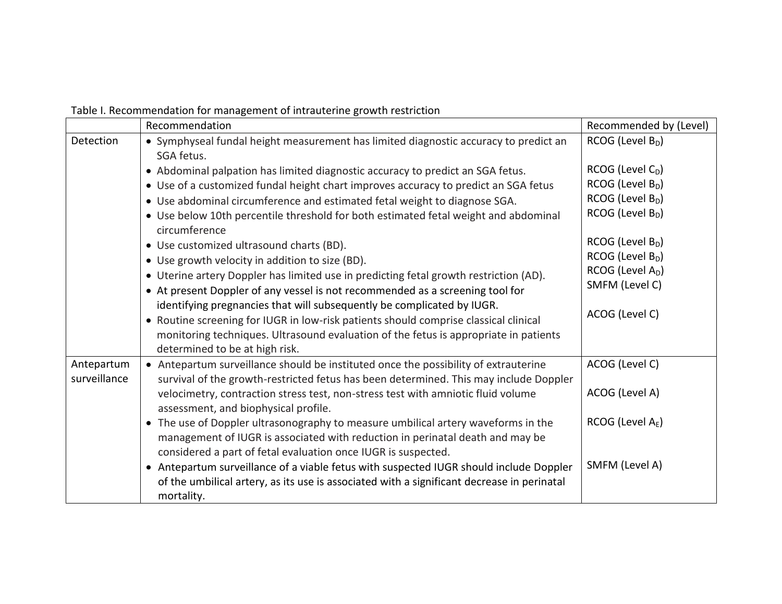|  |  | Table I. Recommendation for management of intrauterine growth restriction |
|--|--|---------------------------------------------------------------------------|
|--|--|---------------------------------------------------------------------------|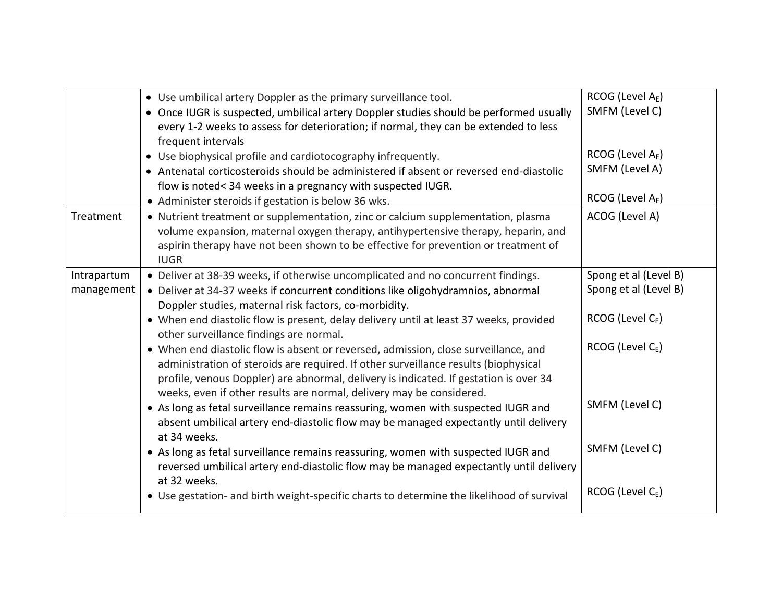|             | • Use umbilical artery Doppler as the primary surveillance tool.                          | RCOG (Level A <sub>E</sub> ) |
|-------------|-------------------------------------------------------------------------------------------|------------------------------|
|             | • Once IUGR is suspected, umbilical artery Doppler studies should be performed usually    | SMFM (Level C)               |
|             | every 1-2 weeks to assess for deterioration; if normal, they can be extended to less      |                              |
|             | frequent intervals                                                                        |                              |
|             | • Use biophysical profile and cardiotocography infrequently.                              | RCOG (Level $A_E$ )          |
|             | • Antenatal corticosteroids should be administered if absent or reversed end-diastolic    | SMFM (Level A)               |
|             | flow is noted< 34 weeks in a pregnancy with suspected IUGR.                               |                              |
|             | • Administer steroids if gestation is below 36 wks.                                       | RCOG (Level A <sub>E</sub> ) |
| Treatment   | • Nutrient treatment or supplementation, zinc or calcium supplementation, plasma          | ACOG (Level A)               |
|             | volume expansion, maternal oxygen therapy, antihypertensive therapy, heparin, and         |                              |
|             | aspirin therapy have not been shown to be effective for prevention or treatment of        |                              |
|             | <b>IUGR</b>                                                                               |                              |
| Intrapartum | • Deliver at 38-39 weeks, if otherwise uncomplicated and no concurrent findings.          | Spong et al (Level B)        |
| management  | • Deliver at 34-37 weeks if concurrent conditions like oligohydramnios, abnormal          | Spong et al (Level B)        |
|             | Doppler studies, maternal risk factors, co-morbidity.                                     |                              |
|             | • When end diastolic flow is present, delay delivery until at least 37 weeks, provided    | RCOG (Level CE)              |
|             | other surveillance findings are normal.                                                   |                              |
|             | • When end diastolic flow is absent or reversed, admission, close surveillance, and       | $RCOG$ (Level $C_E$ )        |
|             | administration of steroids are required. If other surveillance results (biophysical       |                              |
|             | profile, venous Doppler) are abnormal, delivery is indicated. If gestation is over 34     |                              |
|             | weeks, even if other results are normal, delivery may be considered.                      |                              |
|             | • As long as fetal surveillance remains reassuring, women with suspected IUGR and         | SMFM (Level C)               |
|             | absent umbilical artery end-diastolic flow may be managed expectantly until delivery      |                              |
|             | at 34 weeks.                                                                              |                              |
|             | • As long as fetal surveillance remains reassuring, women with suspected IUGR and         | SMFM (Level C)               |
|             | reversed umbilical artery end-diastolic flow may be managed expectantly until delivery    |                              |
|             | at 32 weeks.                                                                              |                              |
|             | • Use gestation- and birth weight-specific charts to determine the likelihood of survival | RCOG (Level $C_{E}$ )        |
|             |                                                                                           |                              |